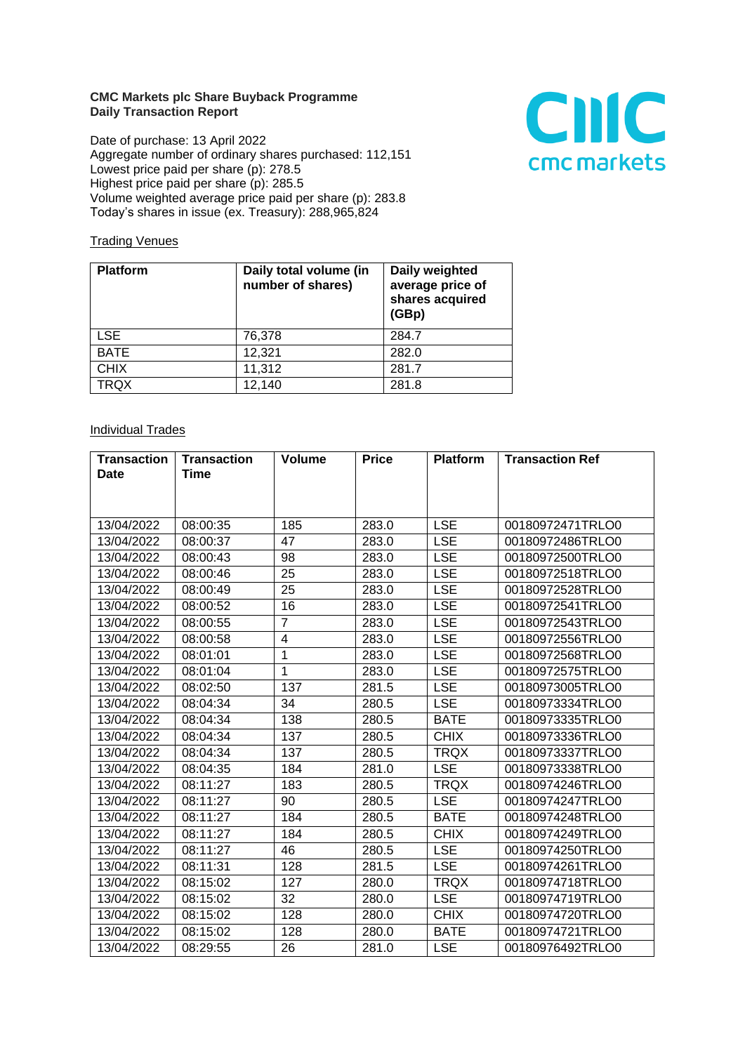## **CMC Markets plc Share Buyback Programme Daily Transaction Report**

Date of purchase: 13 April 2022 Aggregate number of ordinary shares purchased: 112,151 Lowest price paid per share (p): 278.5 Highest price paid per share (p): 285.5 Volume weighted average price paid per share (p): 283.8 Today's shares in issue (ex. Treasury): 288,965,824



## **Trading Venues**

| <b>Platform</b> | Daily total volume (in<br>number of shares) | Daily weighted<br>average price of<br>shares acquired<br>(GBp) |
|-----------------|---------------------------------------------|----------------------------------------------------------------|
| <b>LSE</b>      | 76,378                                      | 284.7                                                          |
| <b>BATE</b>     | 12,321                                      | 282.0                                                          |
| <b>CHIX</b>     | 11,312                                      | 281.7                                                          |
| <b>TRQX</b>     | 12,140                                      | 281.8                                                          |

## **Individual Trades**

| <b>Transaction</b> | Transaction | <b>Volume</b>  | <b>Price</b> | <b>Platform</b> | <b>Transaction Ref</b> |
|--------------------|-------------|----------------|--------------|-----------------|------------------------|
| <b>Date</b>        | <b>Time</b> |                |              |                 |                        |
|                    |             |                |              |                 |                        |
|                    |             |                |              |                 |                        |
| 13/04/2022         | 08:00:35    | 185            | 283.0        | <b>LSE</b>      | 00180972471TRLO0       |
| 13/04/2022         | 08:00:37    | 47             | 283.0        | <b>LSE</b>      | 00180972486TRLO0       |
| 13/04/2022         | 08:00:43    | 98             | 283.0        | <b>LSE</b>      | 00180972500TRLO0       |
| 13/04/2022         | 08:00:46    | 25             | 283.0        | <b>LSE</b>      | 00180972518TRLO0       |
| 13/04/2022         | 08:00:49    | 25             | 283.0        | <b>LSE</b>      | 00180972528TRLO0       |
| 13/04/2022         | 08:00:52    | 16             | 283.0        | <b>LSE</b>      | 00180972541TRLO0       |
| 13/04/2022         | 08:00:55    | $\overline{7}$ | 283.0        | <b>LSE</b>      | 00180972543TRLO0       |
| 13/04/2022         | 08:00:58    | 4              | 283.0        | <b>LSE</b>      | 00180972556TRLO0       |
| 13/04/2022         | 08:01:01    | $\mathbf{1}$   | 283.0        | <b>LSE</b>      | 00180972568TRLO0       |
| 13/04/2022         | 08:01:04    | $\mathbf{1}$   | 283.0        | <b>LSE</b>      | 00180972575TRLO0       |
| 13/04/2022         | 08:02:50    | 137            | 281.5        | <b>LSE</b>      | 00180973005TRLO0       |
| 13/04/2022         | 08:04:34    | 34             | 280.5        | <b>LSE</b>      | 00180973334TRLO0       |
| 13/04/2022         | 08:04:34    | 138            | 280.5        | <b>BATE</b>     | 00180973335TRLO0       |
| 13/04/2022         | 08:04:34    | 137            | 280.5        | <b>CHIX</b>     | 00180973336TRLO0       |
| 13/04/2022         | 08:04:34    | 137            | 280.5        | <b>TRQX</b>     | 00180973337TRLO0       |
| 13/04/2022         | 08:04:35    | 184            | 281.0        | <b>LSE</b>      | 00180973338TRLO0       |
| 13/04/2022         | 08:11:27    | 183            | 280.5        | <b>TRQX</b>     | 00180974246TRLO0       |
| 13/04/2022         | 08:11:27    | 90             | 280.5        | <b>LSE</b>      | 00180974247TRLO0       |
| 13/04/2022         | 08:11:27    | 184            | 280.5        | <b>BATE</b>     | 00180974248TRLO0       |
| 13/04/2022         | 08:11:27    | 184            | 280.5        | <b>CHIX</b>     | 00180974249TRLO0       |
| 13/04/2022         | 08:11:27    | 46             | 280.5        | <b>LSE</b>      | 00180974250TRLO0       |
| 13/04/2022         | 08:11:31    | 128            | 281.5        | <b>LSE</b>      | 00180974261TRLO0       |
| 13/04/2022         | 08:15:02    | 127            | 280.0        | <b>TRQX</b>     | 00180974718TRLO0       |
| 13/04/2022         | 08:15:02    | 32             | 280.0        | <b>LSE</b>      | 00180974719TRLO0       |
| 13/04/2022         | 08:15:02    | 128            | 280.0        | <b>CHIX</b>     | 00180974720TRLO0       |
| 13/04/2022         | 08:15:02    | 128            | 280.0        | <b>BATE</b>     | 00180974721TRLO0       |
| 13/04/2022         | 08:29:55    | 26             | 281.0        | <b>LSE</b>      | 00180976492TRLO0       |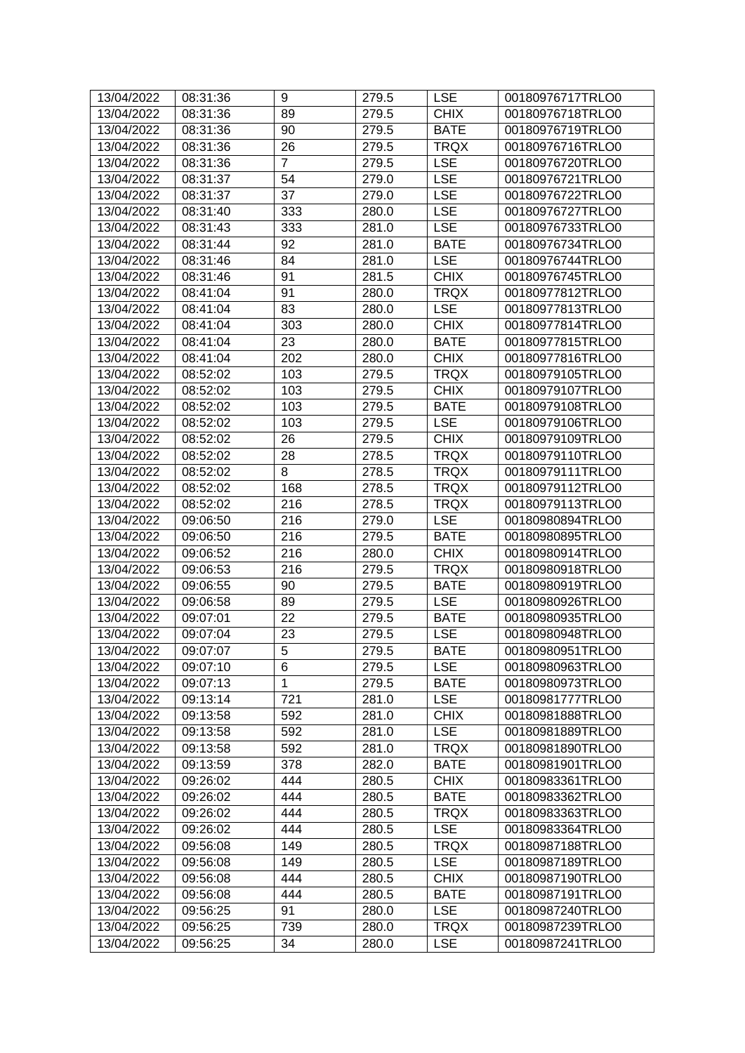| 13/04/2022 | 08:31:36 | 9              | 279.5 | <b>LSE</b>  | 00180976717TRLO0 |
|------------|----------|----------------|-------|-------------|------------------|
| 13/04/2022 | 08:31:36 | 89             | 279.5 | <b>CHIX</b> | 00180976718TRLO0 |
| 13/04/2022 | 08:31:36 | 90             | 279.5 | <b>BATE</b> | 00180976719TRLO0 |
| 13/04/2022 | 08:31:36 | 26             | 279.5 | <b>TRQX</b> | 00180976716TRLO0 |
| 13/04/2022 | 08:31:36 | $\overline{7}$ | 279.5 | <b>LSE</b>  | 00180976720TRLO0 |
| 13/04/2022 | 08:31:37 | 54             | 279.0 | <b>LSE</b>  | 00180976721TRLO0 |
| 13/04/2022 | 08:31:37 | 37             | 279.0 | <b>LSE</b>  | 00180976722TRLO0 |
| 13/04/2022 | 08:31:40 | 333            | 280.0 | <b>LSE</b>  | 00180976727TRLO0 |
| 13/04/2022 | 08:31:43 | 333            | 281.0 | <b>LSE</b>  | 00180976733TRLO0 |
| 13/04/2022 | 08:31:44 | 92             | 281.0 | <b>BATE</b> | 00180976734TRLO0 |
| 13/04/2022 | 08:31:46 | 84             | 281.0 | <b>LSE</b>  | 00180976744TRLO0 |
| 13/04/2022 | 08:31:46 | 91             | 281.5 | <b>CHIX</b> | 00180976745TRLO0 |
| 13/04/2022 | 08:41:04 | 91             | 280.0 | <b>TRQX</b> | 00180977812TRLO0 |
| 13/04/2022 | 08:41:04 | 83             | 280.0 | <b>LSE</b>  | 00180977813TRLO0 |
| 13/04/2022 | 08:41:04 | 303            | 280.0 | <b>CHIX</b> | 00180977814TRLO0 |
| 13/04/2022 | 08:41:04 | 23             | 280.0 | <b>BATE</b> | 00180977815TRLO0 |
| 13/04/2022 | 08:41:04 | 202            | 280.0 | <b>CHIX</b> | 00180977816TRLO0 |
| 13/04/2022 | 08:52:02 | 103            | 279.5 | <b>TRQX</b> | 00180979105TRLO0 |
| 13/04/2022 | 08:52:02 | 103            | 279.5 | <b>CHIX</b> | 00180979107TRLO0 |
| 13/04/2022 | 08:52:02 | 103            | 279.5 | <b>BATE</b> | 00180979108TRLO0 |
| 13/04/2022 | 08:52:02 | 103            | 279.5 | <b>LSE</b>  | 00180979106TRLO0 |
| 13/04/2022 | 08:52:02 | 26             | 279.5 | <b>CHIX</b> | 00180979109TRLO0 |
| 13/04/2022 | 08:52:02 | 28             | 278.5 | <b>TRQX</b> | 00180979110TRLO0 |
| 13/04/2022 | 08:52:02 | 8              | 278.5 | <b>TRQX</b> | 00180979111TRLO0 |
| 13/04/2022 | 08:52:02 | 168            | 278.5 | <b>TRQX</b> | 00180979112TRLO0 |
| 13/04/2022 | 08:52:02 | 216            | 278.5 | <b>TRQX</b> | 00180979113TRLO0 |
| 13/04/2022 | 09:06:50 | 216            | 279.0 | <b>LSE</b>  | 00180980894TRLO0 |
| 13/04/2022 | 09:06:50 | 216            | 279.5 | <b>BATE</b> | 00180980895TRLO0 |
| 13/04/2022 | 09:06:52 | 216            | 280.0 | <b>CHIX</b> | 00180980914TRLO0 |
| 13/04/2022 | 09:06:53 | 216            | 279.5 | <b>TRQX</b> | 00180980918TRLO0 |
| 13/04/2022 | 09:06:55 | 90             | 279.5 | <b>BATE</b> | 00180980919TRLO0 |
| 13/04/2022 | 09:06:58 | 89             | 279.5 | <b>LSE</b>  | 00180980926TRLO0 |
| 13/04/2022 | 09:07:01 | 22             | 279.5 | <b>BATE</b> | 00180980935TRLO0 |
| 13/04/2022 | 09:07:04 | 23             | 279.5 | <b>LSE</b>  | 00180980948TRLO0 |
| 13/04/2022 | 09:07:07 | 5              | 279.5 | <b>BATE</b> | 00180980951TRLO0 |
| 13/04/2022 | 09:07:10 | 6              | 279.5 | <b>LSE</b>  | 00180980963TRLO0 |
| 13/04/2022 | 09:07:13 | 1              | 279.5 | <b>BATE</b> | 00180980973TRLO0 |
| 13/04/2022 | 09:13:14 | 721            | 281.0 | <b>LSE</b>  | 00180981777TRLO0 |
| 13/04/2022 | 09:13:58 | 592            | 281.0 | <b>CHIX</b> | 00180981888TRLO0 |
| 13/04/2022 | 09:13:58 | 592            | 281.0 | <b>LSE</b>  | 00180981889TRLO0 |
| 13/04/2022 | 09:13:58 | 592            | 281.0 | <b>TRQX</b> | 00180981890TRLO0 |
| 13/04/2022 | 09:13:59 | 378            | 282.0 | <b>BATE</b> | 00180981901TRLO0 |
| 13/04/2022 | 09:26:02 | 444            | 280.5 | <b>CHIX</b> | 00180983361TRLO0 |
| 13/04/2022 | 09:26:02 | 444            | 280.5 | <b>BATE</b> | 00180983362TRLO0 |
| 13/04/2022 | 09:26:02 | 444            | 280.5 | <b>TRQX</b> | 00180983363TRLO0 |
| 13/04/2022 | 09:26:02 | 444            | 280.5 | <b>LSE</b>  | 00180983364TRLO0 |
| 13/04/2022 | 09:56:08 | 149            | 280.5 | <b>TRQX</b> | 00180987188TRLO0 |
| 13/04/2022 | 09:56:08 | 149            | 280.5 | <b>LSE</b>  | 00180987189TRLO0 |
| 13/04/2022 | 09:56:08 | 444            | 280.5 | <b>CHIX</b> | 00180987190TRLO0 |
| 13/04/2022 | 09:56:08 | 444            | 280.5 | <b>BATE</b> | 00180987191TRLO0 |
| 13/04/2022 | 09:56:25 | 91             | 280.0 | <b>LSE</b>  | 00180987240TRLO0 |
| 13/04/2022 | 09:56:25 | 739            | 280.0 | <b>TRQX</b> | 00180987239TRLO0 |
| 13/04/2022 | 09:56:25 | 34             | 280.0 | <b>LSE</b>  | 00180987241TRLO0 |
|            |          |                |       |             |                  |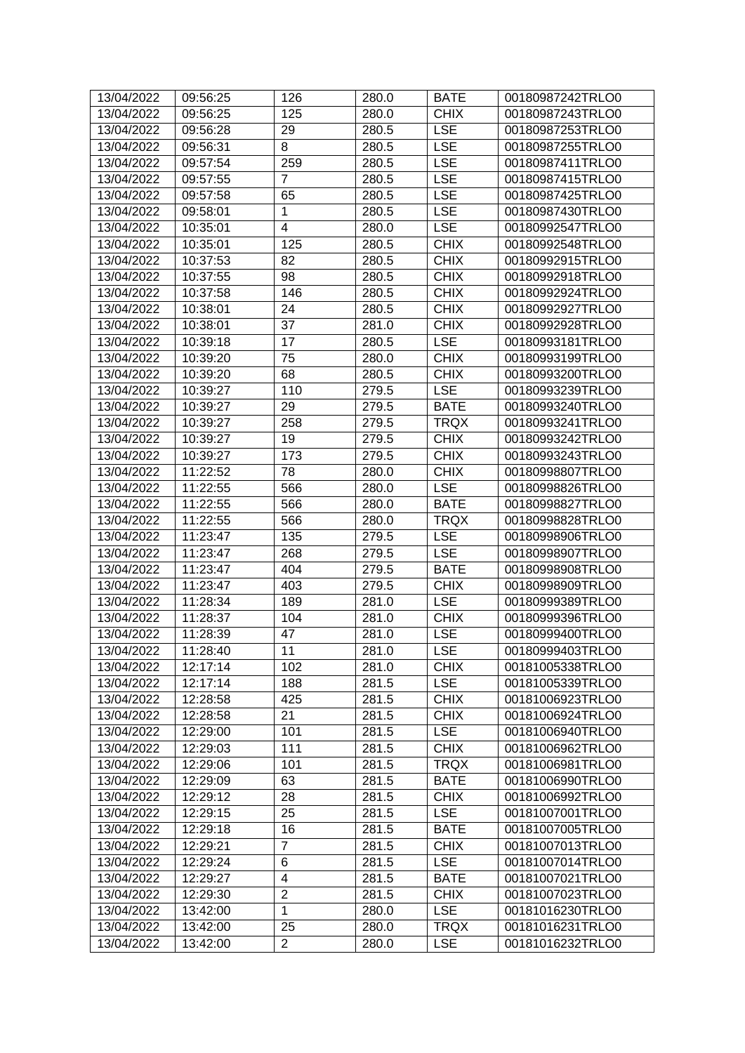| 13/04/2022 | 09:56:25 | 126              | 280.0 | <b>BATE</b> | 00180987242TRLO0 |
|------------|----------|------------------|-------|-------------|------------------|
| 13/04/2022 | 09:56:25 | 125              | 280.0 | <b>CHIX</b> | 00180987243TRLO0 |
| 13/04/2022 | 09:56:28 | 29               | 280.5 | <b>LSE</b>  | 00180987253TRLO0 |
| 13/04/2022 | 09:56:31 | 8                | 280.5 | <b>LSE</b>  | 00180987255TRLO0 |
| 13/04/2022 | 09:57:54 | 259              | 280.5 | <b>LSE</b>  | 00180987411TRLO0 |
| 13/04/2022 | 09:57:55 | $\overline{7}$   | 280.5 | <b>LSE</b>  | 00180987415TRLO0 |
| 13/04/2022 | 09:57:58 | 65               | 280.5 | <b>LSE</b>  | 00180987425TRLO0 |
| 13/04/2022 | 09:58:01 | 1                | 280.5 | <b>LSE</b>  | 00180987430TRLO0 |
| 13/04/2022 | 10:35:01 | 4                | 280.0 | <b>LSE</b>  | 00180992547TRLO0 |
| 13/04/2022 | 10:35:01 | $\overline{125}$ | 280.5 | <b>CHIX</b> | 00180992548TRLO0 |
| 13/04/2022 | 10:37:53 | 82               | 280.5 | <b>CHIX</b> | 00180992915TRLO0 |
| 13/04/2022 | 10:37:55 | 98               | 280.5 | <b>CHIX</b> | 00180992918TRLO0 |
| 13/04/2022 | 10:37:58 | 146              | 280.5 | <b>CHIX</b> | 00180992924TRLO0 |
| 13/04/2022 | 10:38:01 | 24               | 280.5 | <b>CHIX</b> | 00180992927TRLO0 |
| 13/04/2022 | 10:38:01 | 37               | 281.0 | <b>CHIX</b> | 00180992928TRLO0 |
| 13/04/2022 | 10:39:18 | 17               | 280.5 | <b>LSE</b>  | 00180993181TRLO0 |
| 13/04/2022 | 10:39:20 | 75               | 280.0 | <b>CHIX</b> | 00180993199TRLO0 |
| 13/04/2022 | 10:39:20 | 68               | 280.5 | <b>CHIX</b> | 00180993200TRLO0 |
| 13/04/2022 | 10:39:27 | 110              | 279.5 | <b>LSE</b>  | 00180993239TRLO0 |
| 13/04/2022 | 10:39:27 | 29               | 279.5 | <b>BATE</b> | 00180993240TRLO0 |
| 13/04/2022 | 10:39:27 | 258              | 279.5 | <b>TRQX</b> | 00180993241TRLO0 |
| 13/04/2022 | 10:39:27 | 19               | 279.5 | <b>CHIX</b> | 00180993242TRLO0 |
| 13/04/2022 | 10:39:27 | 173              | 279.5 | <b>CHIX</b> | 00180993243TRLO0 |
| 13/04/2022 | 11:22:52 | 78               | 280.0 | <b>CHIX</b> | 00180998807TRLO0 |
| 13/04/2022 | 11:22:55 | 566              | 280.0 | <b>LSE</b>  | 00180998826TRLO0 |
| 13/04/2022 | 11:22:55 | 566              | 280.0 | <b>BATE</b> | 00180998827TRLO0 |
| 13/04/2022 | 11:22:55 | 566              | 280.0 | <b>TRQX</b> | 00180998828TRLO0 |
| 13/04/2022 | 11:23:47 | 135              | 279.5 | <b>LSE</b>  | 00180998906TRLO0 |
| 13/04/2022 | 11:23:47 | 268              | 279.5 | <b>LSE</b>  | 00180998907TRLO0 |
| 13/04/2022 | 11:23:47 | 404              | 279.5 | <b>BATE</b> | 00180998908TRLO0 |
| 13/04/2022 | 11:23:47 | 403              | 279.5 | <b>CHIX</b> | 00180998909TRLO0 |
| 13/04/2022 | 11:28:34 | 189              | 281.0 | <b>LSE</b>  | 00180999389TRLO0 |
| 13/04/2022 | 11:28:37 | 104              | 281.0 | <b>CHIX</b> | 00180999396TRLO0 |
| 13/04/2022 | 11:28:39 | 47               | 281.0 | <b>LSE</b>  | 00180999400TRLO0 |
| 13/04/2022 | 11:28:40 | 11               | 281.0 | <b>LSE</b>  | 00180999403TRLO0 |
| 13/04/2022 | 12:17:14 | 102              | 281.0 | <b>CHIX</b> | 00181005338TRLO0 |
| 13/04/2022 | 12:17:14 | 188              | 281.5 | <b>LSE</b>  | 00181005339TRLO0 |
| 13/04/2022 | 12:28:58 | 425              | 281.5 | <b>CHIX</b> | 00181006923TRLO0 |
| 13/04/2022 | 12:28:58 | 21               | 281.5 | <b>CHIX</b> | 00181006924TRLO0 |
| 13/04/2022 | 12:29:00 | 101              | 281.5 | <b>LSE</b>  | 00181006940TRLO0 |
| 13/04/2022 | 12:29:03 | 111              | 281.5 | <b>CHIX</b> | 00181006962TRLO0 |
| 13/04/2022 | 12:29:06 | 101              | 281.5 | <b>TRQX</b> | 00181006981TRLO0 |
| 13/04/2022 | 12:29:09 | 63               | 281.5 | <b>BATE</b> | 00181006990TRLO0 |
| 13/04/2022 | 12:29:12 | 28               | 281.5 | <b>CHIX</b> | 00181006992TRLO0 |
| 13/04/2022 | 12:29:15 | 25               | 281.5 | <b>LSE</b>  | 00181007001TRLO0 |
| 13/04/2022 | 12:29:18 | 16               | 281.5 | <b>BATE</b> | 00181007005TRLO0 |
| 13/04/2022 | 12:29:21 | 7                | 281.5 | <b>CHIX</b> | 00181007013TRLO0 |
| 13/04/2022 | 12:29:24 | 6                | 281.5 | <b>LSE</b>  | 00181007014TRLO0 |
| 13/04/2022 | 12:29:27 | 4                | 281.5 | <b>BATE</b> | 00181007021TRLO0 |
| 13/04/2022 | 12:29:30 | $\overline{2}$   | 281.5 | <b>CHIX</b> | 00181007023TRLO0 |
| 13/04/2022 | 13:42:00 | 1                | 280.0 | <b>LSE</b>  | 00181016230TRLO0 |
| 13/04/2022 | 13:42:00 | 25               | 280.0 | <b>TRQX</b> | 00181016231TRLO0 |
| 13/04/2022 | 13:42:00 | $\overline{2}$   | 280.0 | <b>LSE</b>  | 00181016232TRLO0 |
|            |          |                  |       |             |                  |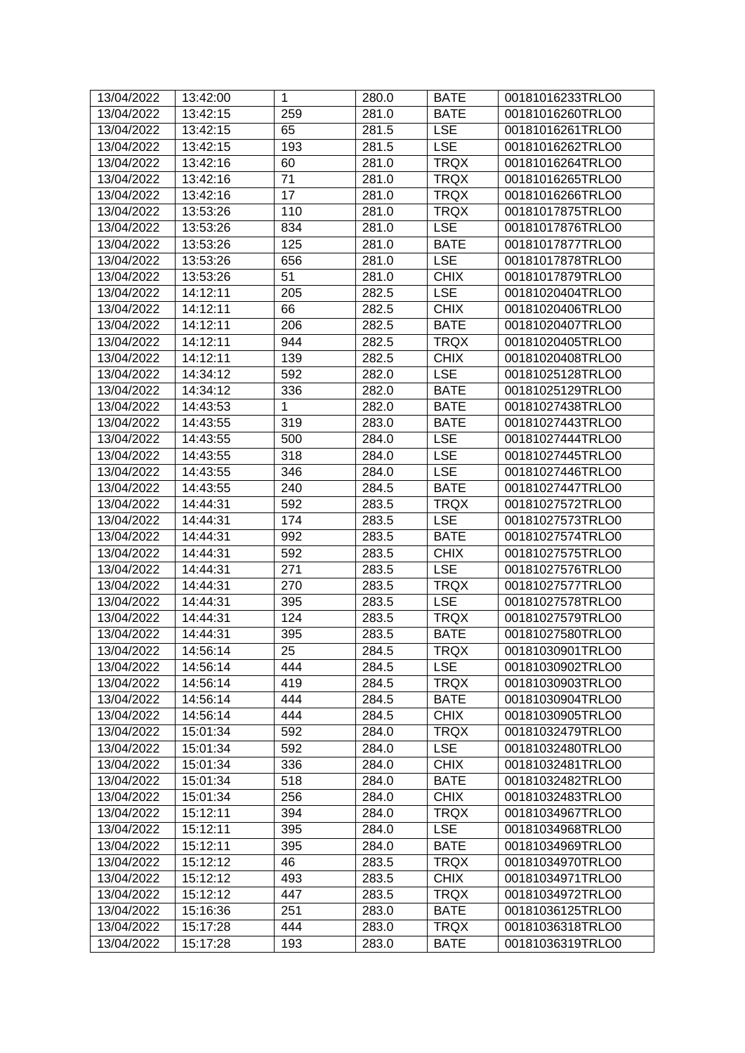| 13/04/2022 | 13:42:00 | $\mathbf{1}$ | 280.0 | <b>BATE</b> | 00181016233TRLO0 |
|------------|----------|--------------|-------|-------------|------------------|
| 13/04/2022 | 13:42:15 | 259          | 281.0 | <b>BATE</b> | 00181016260TRLO0 |
| 13/04/2022 | 13:42:15 | 65           | 281.5 | <b>LSE</b>  | 00181016261TRLO0 |
| 13/04/2022 | 13:42:15 | 193          | 281.5 | <b>LSE</b>  | 00181016262TRLO0 |
| 13/04/2022 | 13:42:16 | 60           | 281.0 | <b>TRQX</b> | 00181016264TRLO0 |
| 13/04/2022 | 13:42:16 | 71           | 281.0 | <b>TRQX</b> | 00181016265TRLO0 |
| 13/04/2022 | 13:42:16 | 17           | 281.0 | <b>TRQX</b> | 00181016266TRLO0 |
| 13/04/2022 | 13:53:26 | 110          | 281.0 | <b>TRQX</b> | 00181017875TRLO0 |
| 13/04/2022 | 13:53:26 | 834          | 281.0 | <b>LSE</b>  | 00181017876TRLO0 |
| 13/04/2022 | 13:53:26 | 125          | 281.0 | <b>BATE</b> | 00181017877TRLO0 |
| 13/04/2022 | 13:53:26 | 656          | 281.0 | <b>LSE</b>  | 00181017878TRLO0 |
| 13/04/2022 | 13:53:26 | 51           | 281.0 | <b>CHIX</b> | 00181017879TRLO0 |
| 13/04/2022 | 14:12:11 | 205          | 282.5 | <b>LSE</b>  | 00181020404TRLO0 |
| 13/04/2022 | 14:12:11 | 66           | 282.5 | <b>CHIX</b> | 00181020406TRLO0 |
| 13/04/2022 | 14:12:11 | 206          | 282.5 | <b>BATE</b> | 00181020407TRLO0 |
| 13/04/2022 | 14:12:11 | 944          | 282.5 | <b>TRQX</b> | 00181020405TRLO0 |
| 13/04/2022 | 14:12:11 | 139          | 282.5 | <b>CHIX</b> | 00181020408TRLO0 |
| 13/04/2022 | 14:34:12 | 592          | 282.0 | <b>LSE</b>  | 00181025128TRLO0 |
| 13/04/2022 | 14:34:12 | 336          | 282.0 | <b>BATE</b> | 00181025129TRLO0 |
| 13/04/2022 | 14:43:53 | 1            | 282.0 | <b>BATE</b> | 00181027438TRLO0 |
| 13/04/2022 | 14:43:55 | 319          | 283.0 | <b>BATE</b> | 00181027443TRLO0 |
| 13/04/2022 | 14:43:55 | 500          | 284.0 | <b>LSE</b>  | 00181027444TRLO0 |
| 13/04/2022 | 14:43:55 | 318          | 284.0 | <b>LSE</b>  | 00181027445TRLO0 |
| 13/04/2022 | 14:43:55 | 346          | 284.0 | <b>LSE</b>  | 00181027446TRLO0 |
| 13/04/2022 | 14:43:55 | 240          | 284.5 | <b>BATE</b> | 00181027447TRLO0 |
| 13/04/2022 | 14:44:31 | 592          | 283.5 | <b>TRQX</b> | 00181027572TRLO0 |
| 13/04/2022 | 14:44:31 | 174          | 283.5 | <b>LSE</b>  | 00181027573TRLO0 |
| 13/04/2022 | 14:44:31 | 992          | 283.5 | <b>BATE</b> | 00181027574TRLO0 |
| 13/04/2022 | 14:44:31 | 592          | 283.5 | <b>CHIX</b> | 00181027575TRLO0 |
| 13/04/2022 | 14:44:31 | 271          | 283.5 | <b>LSE</b>  | 00181027576TRLO0 |
| 13/04/2022 | 14:44:31 | 270          | 283.5 | <b>TRQX</b> | 00181027577TRLO0 |
| 13/04/2022 | 14:44:31 | 395          | 283.5 | <b>LSE</b>  | 00181027578TRLO0 |
| 13/04/2022 | 14:44:31 | 124          | 283.5 | <b>TRQX</b> | 00181027579TRLO0 |
| 13/04/2022 | 14:44:31 | 395          | 283.5 | <b>BATE</b> | 00181027580TRLO0 |
| 13/04/2022 | 14:56:14 | 25           | 284.5 | <b>TRQX</b> | 00181030901TRLO0 |
| 13/04/2022 | 14:56:14 | 444          | 284.5 | <b>LSE</b>  | 00181030902TRLO0 |
| 13/04/2022 | 14:56:14 | 419          | 284.5 | <b>TRQX</b> | 00181030903TRLO0 |
| 13/04/2022 | 14:56:14 | 444          | 284.5 | <b>BATE</b> | 00181030904TRLO0 |
| 13/04/2022 | 14:56:14 | 444          | 284.5 | <b>CHIX</b> | 00181030905TRLO0 |
| 13/04/2022 | 15:01:34 | 592          | 284.0 | <b>TRQX</b> | 00181032479TRLO0 |
| 13/04/2022 | 15:01:34 | 592          | 284.0 | <b>LSE</b>  | 00181032480TRLO0 |
| 13/04/2022 | 15:01:34 | 336          | 284.0 | <b>CHIX</b> | 00181032481TRLO0 |
| 13/04/2022 | 15:01:34 | 518          | 284.0 | <b>BATE</b> | 00181032482TRLO0 |
| 13/04/2022 | 15:01:34 | 256          | 284.0 | <b>CHIX</b> | 00181032483TRLO0 |
| 13/04/2022 | 15:12:11 | 394          | 284.0 | <b>TRQX</b> | 00181034967TRLO0 |
| 13/04/2022 | 15:12:11 | 395          | 284.0 | <b>LSE</b>  | 00181034968TRLO0 |
| 13/04/2022 | 15:12:11 | 395          | 284.0 | <b>BATE</b> | 00181034969TRLO0 |
| 13/04/2022 | 15:12:12 | 46           | 283.5 | <b>TRQX</b> | 00181034970TRLO0 |
| 13/04/2022 | 15:12:12 | 493          | 283.5 | <b>CHIX</b> | 00181034971TRLO0 |
| 13/04/2022 | 15:12:12 | 447          | 283.5 | <b>TRQX</b> | 00181034972TRLO0 |
| 13/04/2022 | 15:16:36 | 251          | 283.0 | <b>BATE</b> | 00181036125TRLO0 |
| 13/04/2022 | 15:17:28 | 444          | 283.0 | <b>TRQX</b> | 00181036318TRLO0 |
| 13/04/2022 | 15:17:28 | 193          | 283.0 | <b>BATE</b> | 00181036319TRLO0 |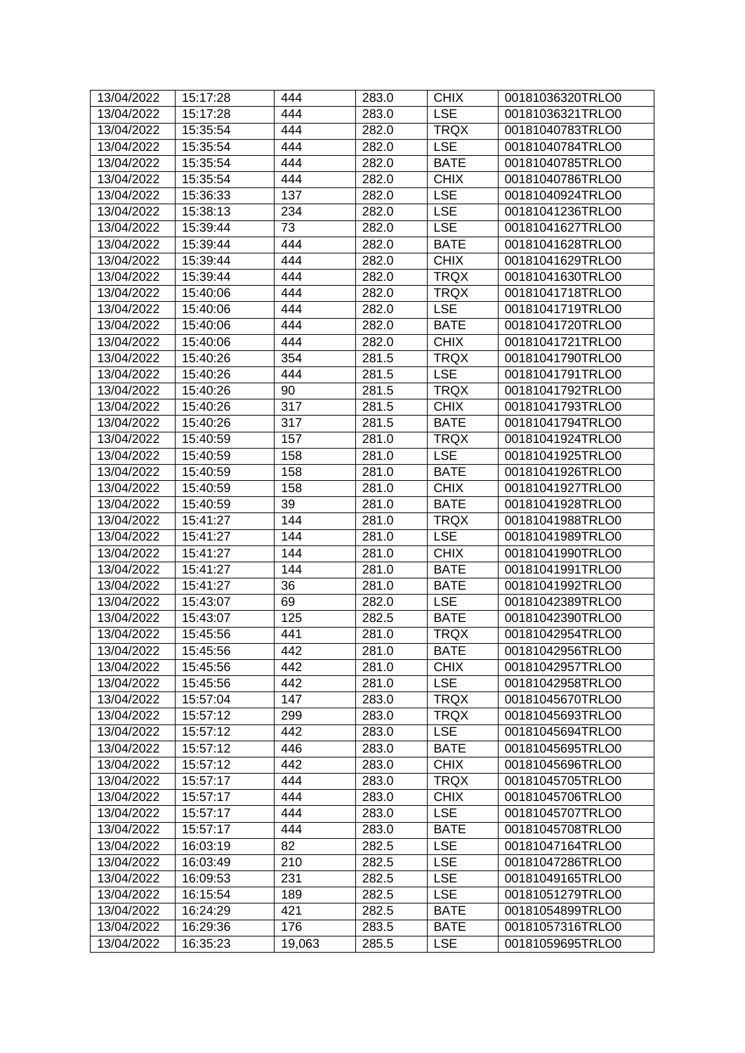| 13/04/2022 | 15:17:28 | 444    | 283.0 | <b>CHIX</b> | 00181036320TRLO0 |
|------------|----------|--------|-------|-------------|------------------|
| 13/04/2022 | 15:17:28 | 444    | 283.0 | <b>LSE</b>  | 00181036321TRLO0 |
| 13/04/2022 | 15:35:54 | 444    | 282.0 | <b>TRQX</b> | 00181040783TRLO0 |
| 13/04/2022 | 15:35:54 | 444    | 282.0 | <b>LSE</b>  | 00181040784TRLO0 |
| 13/04/2022 | 15:35:54 | 444    | 282.0 | <b>BATE</b> | 00181040785TRLO0 |
| 13/04/2022 | 15:35:54 | 444    | 282.0 | <b>CHIX</b> | 00181040786TRLO0 |
| 13/04/2022 | 15:36:33 | 137    | 282.0 | <b>LSE</b>  | 00181040924TRLO0 |
| 13/04/2022 | 15:38:13 | 234    | 282.0 | <b>LSE</b>  | 00181041236TRLO0 |
| 13/04/2022 | 15:39:44 | 73     | 282.0 | <b>LSE</b>  | 00181041627TRLO0 |
| 13/04/2022 | 15:39:44 | 444    | 282.0 | <b>BATE</b> | 00181041628TRLO0 |
| 13/04/2022 | 15:39:44 | 444    | 282.0 | <b>CHIX</b> | 00181041629TRLO0 |
| 13/04/2022 | 15:39:44 | 444    | 282.0 | <b>TRQX</b> | 00181041630TRLO0 |
| 13/04/2022 | 15:40:06 | 444    | 282.0 | <b>TRQX</b> | 00181041718TRLO0 |
| 13/04/2022 | 15:40:06 | 444    | 282.0 | <b>LSE</b>  | 00181041719TRLO0 |
| 13/04/2022 | 15:40:06 | 444    | 282.0 | <b>BATE</b> | 00181041720TRLO0 |
| 13/04/2022 | 15:40:06 | 444    | 282.0 | <b>CHIX</b> | 00181041721TRLO0 |
| 13/04/2022 | 15:40:26 | 354    | 281.5 | <b>TRQX</b> | 00181041790TRLO0 |
| 13/04/2022 | 15:40:26 | 444    | 281.5 | <b>LSE</b>  | 00181041791TRLO0 |
| 13/04/2022 | 15:40:26 | 90     | 281.5 | <b>TRQX</b> | 00181041792TRLO0 |
| 13/04/2022 | 15:40:26 | 317    | 281.5 | <b>CHIX</b> | 00181041793TRLO0 |
| 13/04/2022 | 15:40:26 | 317    | 281.5 | <b>BATE</b> | 00181041794TRLO0 |
| 13/04/2022 | 15:40:59 | 157    | 281.0 | <b>TRQX</b> | 00181041924TRLO0 |
| 13/04/2022 | 15:40:59 | 158    | 281.0 | <b>LSE</b>  | 00181041925TRLO0 |
| 13/04/2022 | 15:40:59 | 158    | 281.0 | <b>BATE</b> | 00181041926TRLO0 |
| 13/04/2022 | 15:40:59 | 158    | 281.0 | <b>CHIX</b> | 00181041927TRLO0 |
| 13/04/2022 | 15:40:59 | 39     | 281.0 | <b>BATE</b> | 00181041928TRLO0 |
| 13/04/2022 | 15:41:27 | 144    | 281.0 | <b>TRQX</b> | 00181041988TRLO0 |
| 13/04/2022 | 15:41:27 | 144    | 281.0 | <b>LSE</b>  | 00181041989TRLO0 |
| 13/04/2022 | 15:41:27 | 144    | 281.0 | <b>CHIX</b> | 00181041990TRLO0 |
| 13/04/2022 | 15:41:27 | 144    | 281.0 | <b>BATE</b> | 00181041991TRLO0 |
| 13/04/2022 | 15:41:27 | 36     | 281.0 | <b>BATE</b> | 00181041992TRLO0 |
| 13/04/2022 | 15:43:07 | 69     | 282.0 | <b>LSE</b>  | 00181042389TRLO0 |
| 13/04/2022 | 15:43:07 | 125    | 282.5 | <b>BATE</b> | 00181042390TRLO0 |
| 13/04/2022 | 15:45:56 | 441    | 281.0 | <b>TRQX</b> | 00181042954TRLO0 |
| 13/04/2022 | 15:45:56 | 442    | 281.0 | <b>BATE</b> | 00181042956TRLO0 |
| 13/04/2022 | 15:45:56 | 442    | 281.0 | <b>CHIX</b> | 00181042957TRLO0 |
| 13/04/2022 | 15:45:56 | 442    | 281.0 | <b>LSE</b>  | 00181042958TRLO0 |
| 13/04/2022 | 15:57:04 | 147    | 283.0 | <b>TRQX</b> | 00181045670TRLO0 |
| 13/04/2022 | 15:57:12 | 299    | 283.0 | <b>TRQX</b> | 00181045693TRLO0 |
| 13/04/2022 | 15:57:12 | 442    | 283.0 | <b>LSE</b>  | 00181045694TRLO0 |
| 13/04/2022 | 15:57:12 | 446    | 283.0 | <b>BATE</b> | 00181045695TRLO0 |
| 13/04/2022 | 15:57:12 | 442    | 283.0 | <b>CHIX</b> | 00181045696TRLO0 |
| 13/04/2022 | 15:57:17 | 444    | 283.0 | <b>TRQX</b> | 00181045705TRLO0 |
| 13/04/2022 | 15:57:17 | 444    | 283.0 | <b>CHIX</b> | 00181045706TRLO0 |
| 13/04/2022 | 15:57:17 | 444    | 283.0 | <b>LSE</b>  | 00181045707TRLO0 |
| 13/04/2022 | 15:57:17 | 444    | 283.0 | <b>BATE</b> | 00181045708TRLO0 |
| 13/04/2022 | 16:03:19 | 82     | 282.5 | <b>LSE</b>  | 00181047164TRLO0 |
| 13/04/2022 | 16:03:49 | 210    | 282.5 | <b>LSE</b>  | 00181047286TRLO0 |
| 13/04/2022 | 16:09:53 | 231    | 282.5 | <b>LSE</b>  | 00181049165TRLO0 |
| 13/04/2022 | 16:15:54 | 189    | 282.5 | <b>LSE</b>  | 00181051279TRLO0 |
| 13/04/2022 | 16:24:29 | 421    | 282.5 | <b>BATE</b> | 00181054899TRLO0 |
| 13/04/2022 | 16:29:36 | 176    | 283.5 | <b>BATE</b> | 00181057316TRLO0 |
| 13/04/2022 | 16:35:23 | 19,063 | 285.5 | <b>LSE</b>  | 00181059695TRLO0 |
|            |          |        |       |             |                  |